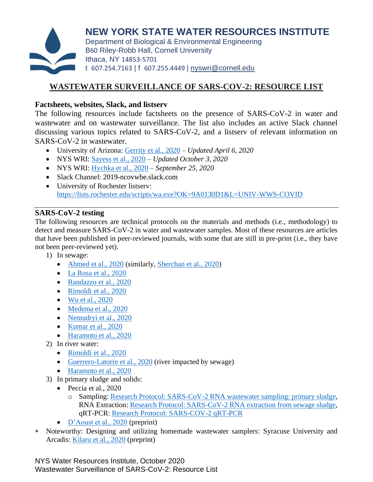

**NEW YORK STATE WATER RESOURCES INSTITUTE** Department of Biological & Environmental Engineering

B60 Riley-Robb Hall, Cornell University Ithaca, NY 14853-5701 t 607.254.7163 | f 607.255.4449 | [nyswri@cornell.edu](mailto:nyswri@cornell.edu)

# **WASTEWATER SURVEILLANCE OF SARS-COV-2: RESOURCE LIST**

#### **Factsheets, websites, Slack, and listserv**

The following resources include factsheets on the presence of SARS-CoV-2 in water and wastewater and on wastewater surveillance. The list also includes an active Slack channel discussing various topics related to SARS-CoV-2, and a listserv of relevant information on SARS-CoV-2 in wastewater.

- University of Arizona: [Gerrity et al., 2020](https://west.arizona.edu/sites/default/files/data/COVID19%20Water%20Fact%20Sheet.pdf) *Updated April 6, 2020*
- NYS WRI: [Sayess et al., 2020](https://wri.cals.cornell.edu/sites/wri.cals.cornell.edu/files/shared/documents/Final_Draft_100420.pdf) *Updated October 3, 2020*
- NYS WRI: [Hychka et al., 2020](https://wri.cals.cornell.edu/sites/wri.cals.cornell.edu/files/shared/Short_Communication_WWSurveillance_092520.pdf) *September 25, 2020*
- Slack Channel: 2019-ncovwbe.slack.com
- University of Rochester listserv: <https://lists.rochester.edu/scripts/wa.exe?OK=9A0130D1&L=UNIV-WWS-COVID>

## **SARS-CoV-2 testing**

The following resources are technical protocols on the materials and methods (i.e., methodology) to detect and measure SARS-CoV-2 in water and wastewater samples. Most of these resources are articles that have been published in peer-reviewed journals, with some that are still in pre-print (i.e., they have not been peer-reviewed yet).

- 1) In sewage:
	- [Ahmed et al., 2020](https://cornell.app.box.com/file/727371343667) (similarly, [Sherchan et al., 2020\)](https://cornell.app.box.com/file/727371190753)
	- [La Rosa et al., 2020](https://cornell.app.box.com/file/727369127563)
	- [Randazzo et al., 2020](https://cornell.app.box.com/file/727370373932)
	- [Rimoldi et al., 2020](https://cornell.app.box.com/file/727370945781)
	- [Wu et al., 2020](https://cornell.app.box.com/file/727370690750)
	- [Medema et al., 2020](https://cornell.app.box.com/file/727369767520)
	- [Nemudryi et al., 2020](https://cornell.app.box.com/file/727369900305)
	- [Kumar et al., 2020](https://cornell.app.box.com/file/727369094231)
	- [Haramoto et al., 2020](https://cornell.app.box.com/file/727370691758)
- 2) In river water:
	- [Rimoldi et al., 2020](https://cornell.app.box.com/file/727370945781)
	- [Guerrero-Latorre et al., 2020](https://cornell.app.box.com/file/727370835426) (river impacted by sewage)
	- [Haramoto et al., 2020](https://cornell.app.box.com/file/727370691758)
- 3) In primary sludge and solids:
	- Peccia et al., 2020
		- o Sampling: [Research Protocol: SARS-CoV-2 RNA wastewater sampling: primary sludge,](https://docs.google.com/document/d/175pJOQhoCOI6cXOp4bZe4k_MZxIub_leVdjUS-CaXwQ/edit) RNA Extraction: [Research Protocol: SARS-CoV-2 RNA extraction from sewage sludge,](https://docs.google.com/document/d/1MYce7dtcTYnHNusuOdFg7aY_CXD5V2Ka14Eduf4BeR0/edit) qRT-PCR: [Research Protocol: SARS-COV-2 qRT-PCR](https://docs.google.com/document/d/1tZKcF3-Efvu4rVR3RQloGY2usAHyjWZ9U-EUtOn3lOQ/edit)
	- [D'Aoust et al., 2020](https://cornell.app.box.com/file/727798334096) (preprint)
- Noteworthy: Designing and utilizing homemade wastewater samplers: Syracuse University and Arcadis: [Kilaru et al., 2020](https://engrxiv.org/frbuk/) (preprint)

NYS Water Resources Institute, October 2020 Wastewater Surveillance of SARS-CoV-2: Resource List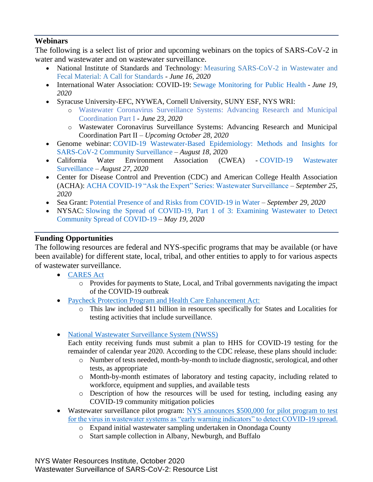## **Webinars**

The following is a select list of prior and upcoming webinars on the topics of SARS-CoV-2 in water and wastewater and on wastewater surveillance.

- National Institute of Standards and Technology: Measuring SARS-CoV-2 in Wastewater and [Fecal Material: A Call for Standards](https://www.nist.gov/news-events/events/2020/06/nist-hosted-webinar-measuring-sars-cov-2-wastewater-and-fecal-material) - *June 16, 2020*
- International Water Association: COVID-19: [Sewage Monitoring for Public Health](https://iwa-network.org/learn/covid-19-sewage-monitoring-for-public-health/) *June 19, 2020*
- Syracuse University-EFC, NYWEA, Cornell University, SUNY ESF, NYS WRI:
	- o [Wastewater Coronavirus Surveillance Systems: Advancing Research and Municipal](https://efc.syr.edu/webinar-developing-a-wastewater-coronavirus-surveillance-system-for-new-york-state/)  [Coordination Part I](https://efc.syr.edu/webinar-developing-a-wastewater-coronavirus-surveillance-system-for-new-york-state/) - *June 23, 2020*
	- o Wastewater Coronavirus Surveillance Systems: Advancing Research and Municipal Coordination Part II – *Upcoming October 28, 2020*
- Genome webinar: [COVID-19 Wastewater-Based Epidemiology: Methods and Insights for](https://event.on24.com/eventRegistration/EventLobbyServlet?target=reg20.jsp&referrer=&eventid=2536586&sessionid=1&key=0D662BEA3FB97B6611ED7C365770CCBD®Tag=&sourcepage=register)  [SARS-CoV-2 Community Surveillance](https://event.on24.com/eventRegistration/EventLobbyServlet?target=reg20.jsp&referrer=&eventid=2536586&sessionid=1&key=0D662BEA3FB97B6611ED7C365770CCBD®Tag=&sourcepage=register) – *August 18, 20*20
- California Water Environment Association (CWEA) [COVID-19 Wastewater](https://www.cwea.org/news/recorded-webinar-covid-19-wastewater-surveillance/)  [Surveillance](https://www.cwea.org/news/recorded-webinar-covid-19-wastewater-surveillance/) – *August 27, 2020*
- Center for Disease Control and Prevention (CDC) and American College Health Association (ACHA): [ACHA COVID-19 "Ask the Expert" Series: Wastewater Surveillance](https://acha-test.app.box.com/s/roe8ys4sej3cdz0zlzhg28ufnoeq7xpo) – *September 25, 2020*
- Sea Grant: [Potential Presence of and Risks from COVID-19 in Water](https://www.youtube.com/watch?v=3X8ekqAisfg) *September 29, 2020*
- NYSAC: [Slowing the Spread of COVID-19, Part 1 of 3: Examining Wastewater to Detect](https://www.youtube.com/watch?v=uOFk4nJhsls&feature=youtu.be)  [Community Spread of COVID-19](https://www.youtube.com/watch?v=uOFk4nJhsls&feature=youtu.be) – *May 19, 2020*

## **Funding Opportunities**

The following resources are federal and NYS-specific programs that may be available (or have been available) for different state, local, tribal, and other entities to apply to for various aspects of wastewater surveillance.

- [CARES Act](https://home.treasury.gov/policy-issues/cares/state-and-local-governments)
	- o Provides for payments to State, Local, and Tribal governments navigating the impact of the COVID-19 outbreak
- [Paycheck Protection Program and Health Care Enhancement Act:](https://www.congress.gov/bill/116th-congress/house-bill/266)
	- o This law included \$11 billion in resources specifically for States and Localities for testing activities that include surveillance.
- [National Wastewater Surveillance System \(NWSS\)](https://www.cdc.gov/coronavirus/2019-ncov/cases-updates/wastewater-surveillance.html)

Each entity receiving funds must submit a plan to HHS for COVID-19 testing for the remainder of calendar year 2020. According to the CDC release, these plans should include:

- o Number of tests needed, month-by-month to include diagnostic, serological, and other tests, as appropriate
- o Month-by-month estimates of laboratory and testing capacity, including related to workforce, equipment and supplies, and available tests
- o Description of how the resources will be used for testing, including easing any COVID-19 community mitigation policies
- Wastewater surveillance pilot program: NYS announces \$500,000 for pilot program to test [for the virus in wastewater systems as "early warning indicators" to detect COVID-19 spread.](https://www.governor.ny.gov/news/governor-cuomo-announces-new-testing-initiatives-improve-covid-19-detection-control-across-new)
	- o Expand initial wastewater sampling undertaken in Onondaga County
	- o Start sample collection in Albany, Newburgh, and Buffalo

NYS Water Resources Institute, October 2020 Wastewater Surveillance of SARS-CoV-2: Resource List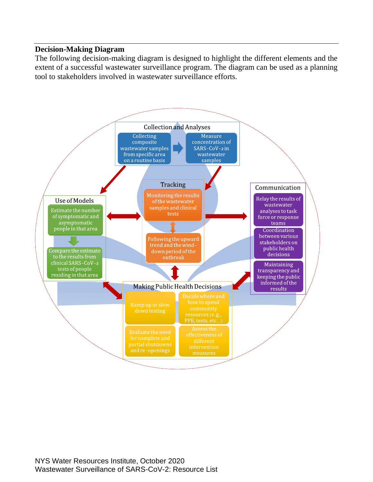#### **Decision-Making Diagram**

The following decision-making diagram is designed to highlight the different elements and the extent of a successful wastewater surveillance program. The diagram can be used as a planning tool to stakeholders involved in wastewater surveillance efforts.